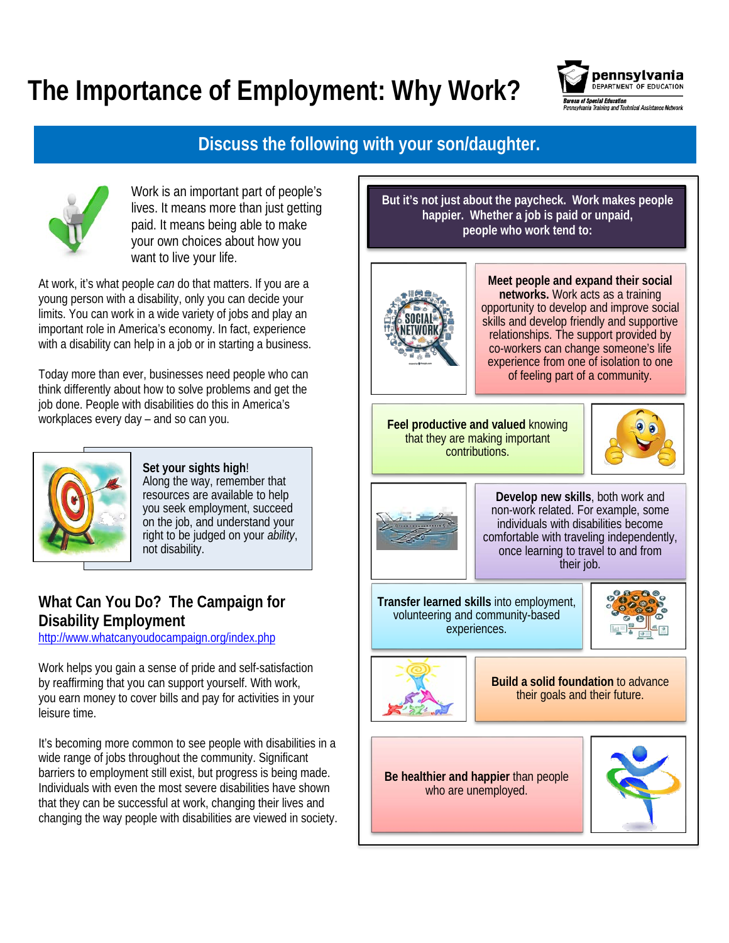## **The Importance of Employment: Why Work?**



## **Discuss the following with your son/daughter.**



Work is an important part of people's lives. It means more than just getting paid. It means being able to make your own choices about how you want to live your life.

At work, it's what people *can* do that matters. If you are a young person with a disability, only you can decide your limits. You can work in a wide variety of jobs and play an important role in America's economy. In fact, experience with a disability can help in a job or in starting a business.

Today more than ever, businesses need people who can think differently about how to solve problems and get the job done. People with disabilities do this in America's workplaces every day – and so can you.



**Set your sights high**! Along the way, remember that resources are available to help you seek employment, succeed on the job, and understand your right to be judged on your *ability*, not disability.

## **What Can You Do? The Campaign for Disability Employment**

<http://www.whatcanyoudocampaign.org/index.php>

Work helps you gain a sense of pride and self-satisfaction by reaffirming that you can support yourself. With work, you earn money to cover bills and pay for activities in your leisure time.

It's becoming more common to see people with disabilities in a wide range of jobs throughout the community. Significant barriers to employment still exist, but progress is being made. Individuals with even the most severe disabilities have shown that they can be successful at work, changing their lives and changing the way people with disabilities are viewed in society. **But it's not just about the paycheck. Work makes people happier. Whether a job is paid or unpaid, people who work tend to:**



**Meet people and expand their social networks.** Work acts as a training opportunity to develop and improve social skills and develop friendly and supportive relationships. The support provided by co-workers can change someone's life experience from one of isolation to one of feeling part of a community.

**Feel productive and valued** knowing that they are making important contributions.





**Develop new skills**, both work and non-work related. For example, some individuals with disabilities become comfortable with traveling independently, once learning to travel to and from their job.

**Transfer learned skills** into employment, volunteering and community-based experiences.





**Build a solid foundation** to advance their goals and their future.

**Be healthier and happier** than people who are unemployed.